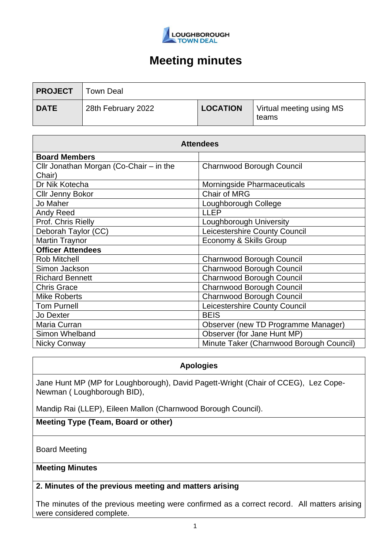

| <b>PROJECT</b> | Town Deal          |                 |                                   |
|----------------|--------------------|-----------------|-----------------------------------|
| <b>DATE</b>    | 28th February 2022 | <b>LOCATION</b> | Virtual meeting using MS<br>teams |

| <b>Attendees</b>                        |                                          |  |  |
|-----------------------------------------|------------------------------------------|--|--|
| <b>Board Members</b>                    |                                          |  |  |
| Cllr Jonathan Morgan (Co-Chair - in the | <b>Charnwood Borough Council</b>         |  |  |
| Chair)                                  |                                          |  |  |
| Dr Nik Kotecha                          | Morningside Pharmaceuticals              |  |  |
| <b>Cllr Jenny Bokor</b>                 | <b>Chair of MRG</b>                      |  |  |
| Jo Maher                                | Loughborough College                     |  |  |
| Andy Reed                               | <b>LLEP</b>                              |  |  |
| Prof. Chris Rielly                      | Loughborough University                  |  |  |
| Deborah Taylor (CC)                     | Leicestershire County Council            |  |  |
| <b>Martin Traynor</b>                   | Economy & Skills Group                   |  |  |
| <b>Officer Attendees</b>                |                                          |  |  |
| <b>Rob Mitchell</b>                     | Charnwood Borough Council                |  |  |
| Simon Jackson                           | Charnwood Borough Council                |  |  |
| <b>Richard Bennett</b>                  | Charnwood Borough Council                |  |  |
| <b>Chris Grace</b>                      | Charnwood Borough Council                |  |  |
| <b>Mike Roberts</b>                     | Charnwood Borough Council                |  |  |
| <b>Tom Purnell</b>                      | Leicestershire County Council            |  |  |
| Jo Dexter                               | <b>BEIS</b>                              |  |  |
| Maria Curran                            | Observer (new TD Programme Manager)      |  |  |
| Simon Whelband                          | Observer (for Jane Hunt MP)              |  |  |
| Nicky Conway                            | Minute Taker (Charnwood Borough Council) |  |  |

## **Apologies**

Jane Hunt MP (MP for Loughborough), David Pagett-Wright (Chair of CCEG), Lez Cope-Newman ( Loughborough BID),

Mandip Rai (LLEP), Eileen Mallon (Charnwood Borough Council).

**Meeting Type (Team, Board or other)**

Board Meeting

### **Meeting Minutes**

## **2. Minutes of the previous meeting and matters arising**

The minutes of the previous meeting were confirmed as a correct record. All matters arising were considered complete.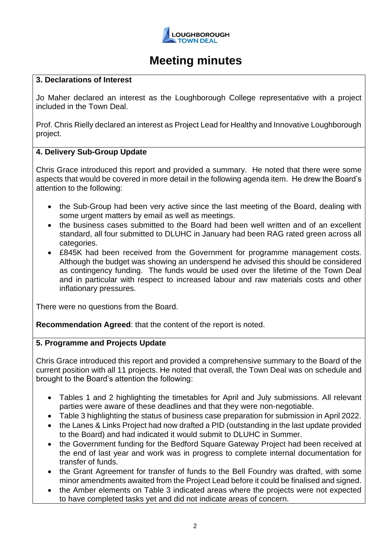

### **3. Declarations of Interest**

Jo Maher declared an interest as the Loughborough College representative with a project included in the Town Deal.

Prof. Chris Rielly declared an interest as Project Lead for Healthy and Innovative Loughborough project.

## **4. Delivery Sub-Group Update**

Chris Grace introduced this report and provided a summary. He noted that there were some aspects that would be covered in more detail in the following agenda item. He drew the Board's attention to the following:

- the Sub-Group had been very active since the last meeting of the Board, dealing with some urgent matters by email as well as meetings.
- the business cases submitted to the Board had been well written and of an excellent standard, all four submitted to DLUHC in January had been RAG rated green across all categories.
- £845K had been received from the Government for programme management costs. Although the budget was showing an underspend he advised this should be considered as contingency funding. The funds would be used over the lifetime of the Town Deal and in particular with respect to increased labour and raw materials costs and other inflationary pressures.

There were no questions from the Board.

**Recommendation Agreed**: that the content of the report is noted.

#### **5. Programme and Projects Update**

Chris Grace introduced this report and provided a comprehensive summary to the Board of the current position with all 11 projects. He noted that overall, the Town Deal was on schedule and brought to the Board's attention the following:

- Tables 1 and 2 highlighting the timetables for April and July submissions. All relevant parties were aware of these deadlines and that they were non-negotiable.
- Table 3 highlighting the status of business case preparation for submission in April 2022.
- the Lanes & Links Project had now drafted a PID (outstanding in the last update provided to the Board) and had indicated it would submit to DLUHC in Summer.
- the Government funding for the Bedford Square Gateway Project had been received at the end of last year and work was in progress to complete internal documentation for transfer of funds.
- the Grant Agreement for transfer of funds to the Bell Foundry was drafted, with some minor amendments awaited from the Project Lead before it could be finalised and signed.
- the Amber elements on Table 3 indicated areas where the projects were not expected to have completed tasks yet and did not indicate areas of concern.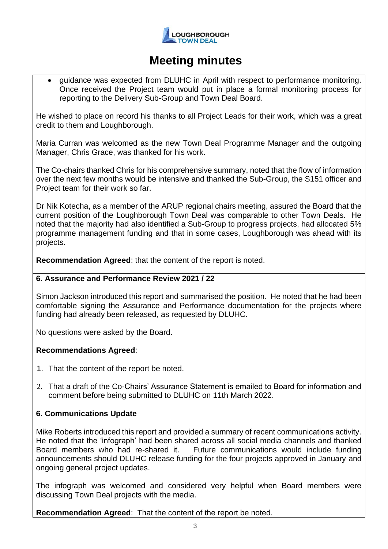

• guidance was expected from DLUHC in April with respect to performance monitoring. Once received the Project team would put in place a formal monitoring process for reporting to the Delivery Sub-Group and Town Deal Board.

He wished to place on record his thanks to all Project Leads for their work, which was a great credit to them and Loughborough.

Maria Curran was welcomed as the new Town Deal Programme Manager and the outgoing Manager, Chris Grace, was thanked for his work.

The Co-chairs thanked Chris for his comprehensive summary, noted that the flow of information over the next few months would be intensive and thanked the Sub-Group, the S151 officer and Project team for their work so far.

Dr Nik Kotecha, as a member of the ARUP regional chairs meeting, assured the Board that the current position of the Loughborough Town Deal was comparable to other Town Deals. He noted that the majority had also identified a Sub-Group to progress projects, had allocated 5% programme management funding and that in some cases, Loughborough was ahead with its projects.

**Recommendation Agreed**: that the content of the report is noted.

#### **6. Assurance and Performance Review 2021 / 22**

Simon Jackson introduced this report and summarised the position. He noted that he had been comfortable signing the Assurance and Performance documentation for the projects where funding had already been released, as requested by DLUHC.

No questions were asked by the Board.

#### **Recommendations Agreed**:

- 1. That the content of the report be noted.
- 2. That a draft of the Co-Chairs' Assurance Statement is emailed to Board for information and comment before being submitted to DLUHC on 11th March 2022.

## **6. Communications Update**

Mike Roberts introduced this report and provided a summary of recent communications activity. He noted that the 'infograph' had been shared across all social media channels and thanked Board members who had re-shared it. Future communications would include funding announcements should DLUHC release funding for the four projects approved in January and ongoing general project updates.

The infograph was welcomed and considered very helpful when Board members were discussing Town Deal projects with the media.

**Recommendation Agreed**: That the content of the report be noted.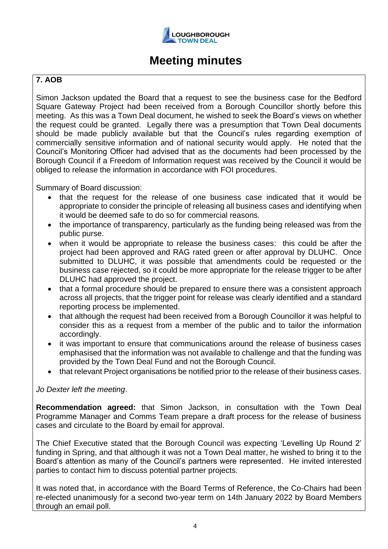

## **7. AOB**

Simon Jackson updated the Board that a request to see the business case for the Bedford Square Gateway Project had been received from a Borough Councillor shortly before this meeting. As this was a Town Deal document, he wished to seek the Board's views on whether the request could be granted. Legally there was a presumption that Town Deal documents should be made publicly available but that the Council's rules regarding exemption of commercially sensitive information and of national security would apply. He noted that the Council's Monitoring Officer had advised that as the documents had been processed by the Borough Council if a Freedom of Information request was received by the Council it would be obliged to release the information in accordance with FOI procedures.

Summary of Board discussion:

- that the request for the release of one business case indicated that it would be appropriate to consider the principle of releasing all business cases and identifying when it would be deemed safe to do so for commercial reasons.
- the importance of transparency, particularly as the funding being released was from the public purse.
- when it would be appropriate to release the business cases: this could be after the project had been approved and RAG rated green or after approval by DLUHC. Once submitted to DLUHC, it was possible that amendments could be requested or the business case rejected, so it could be more appropriate for the release trigger to be after DLUHC had approved the project.
- that a formal procedure should be prepared to ensure there was a consistent approach across all projects, that the trigger point for release was clearly identified and a standard reporting process be implemented.
- that although the request had been received from a Borough Councillor it was helpful to consider this as a request from a member of the public and to tailor the information accordingly.
- it was important to ensure that communications around the release of business cases emphasised that the information was not available to challenge and that the funding was provided by the Town Deal Fund and not the Borough Council.
- that relevant Project organisations be notified prior to the release of their business cases.

#### *Jo Dexter left the meeting*.

**Recommendation agreed:** that Simon Jackson, in consultation with the Town Deal Programme Manager and Comms Team prepare a draft process for the release of business cases and circulate to the Board by email for approval.

The Chief Executive stated that the Borough Council was expecting 'Levelling Up Round 2' funding in Spring, and that although it was not a Town Deal matter, he wished to bring it to the Board's attention as many of the Council's partners were represented. He invited interested parties to contact him to discuss potential partner projects.

It was noted that, in accordance with the Board Terms of Reference, the Co-Chairs had been re-elected unanimously for a second two-year term on 14th January 2022 by Board Members through an email poll.